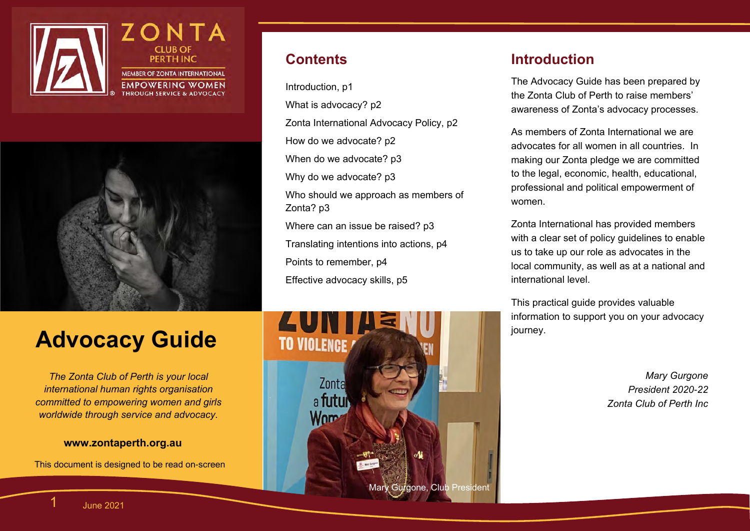



### **Contents**

Introduction, p1 What is advocacy? p2 Zonta International Advocacy Policy, p2 How do we advocate? p2 When do we advocate? p3 Why do we advocate? p3 Who should we approach as members of Zonta? p3 Where can an issue be raised? p3 Translating intentions into actions, p4 Points to remember, p4 Effective advocacy skills, p5

## **Advocacy Guide**

*The Zonta Club of Perth is your local international human rights organisation committed to empowering women and girls worldwide through service and advocacy.*

#### **www.zontaperth.org.au**

This document is designed to be read on-screen



### **Introduction**

The Advocacy Guide has been prepared by the Zonta Club of Perth to raise members' awareness of Zonta's advocacy processes.

As members of Zonta International we are advocates for all women in all countries. In making our Zonta pledge we are committed to the legal, economic, health, educational, professional and political empowerment of women.

Zonta International has provided members with a clear set of policy guidelines to enable us to take up our role as advocates in the local community, as well as at a national and international level.

This practical guide provides valuable information to support you on your advocacy journey.

> *Mary Gurgone President 2020-22 Zonta Club of Perth Inc*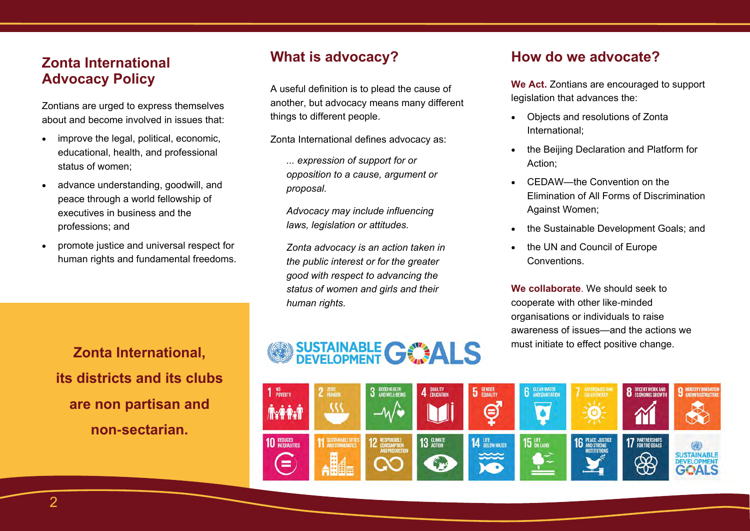### **Zonta International Advocacy Policy**

Zontians are urged to express themselves about and become involved in issues that:

- improve the legal, political, economic, educational, health, and professional status of women;
- advance understanding, goodwill, and peace through a world fellowship of executives in business and the professions; and
- promote justice and universal respect for human rights and fundamental freedoms.

### **What is advocacy?**

A useful definition is to plead the cause of another, but advocacy means many different things to different people.

Zonta International defines advocacy as:

*... expression of support for or opposition to a cause, argument or proposal.* 

*Advocacy may include influencing laws, legislation or attitudes.* 

*Zonta advocacy is an action taken in the public interest or for the greater good with respect to advancing the status of women and girls and their human rights.* 

### **How do we advocate?**

**We Act.** Zontians are encouraged to support legislation that advances the:

- Objects and resolutions of Zonta International;
- the Beijing Declaration and Platform for Action;
- CEDAW—the Convention on the Elimination of All Forms of Discrimination Against Women;
- the Sustainable Development Goals; and
- the UN and Council of Europe **Conventions**

**We collaborate**. We should seek to cooperate with other like-minded organisations or individuals to raise awareness of issues—and the actions we must initiate to effect positive change.

**Zonta International, its districts and its clubs are non partisan and non-sectarian.** 

# SUSTAINABLE GOALS

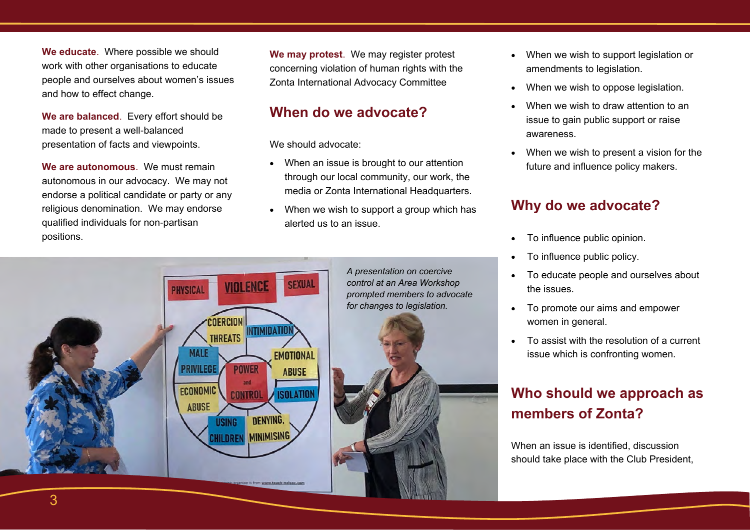**We educate**. Where possible we should work with other organisations to educate people and ourselves about women's issues and how to effect change.

**We are balanced**. Every effort should be made to present a well-balanced presentation of facts and viewpoints.

**We are autonomous**. We must remain autonomous in our advocacy. We may not endorse a political candidate or party or any religious denomination. We may endorse qualified individuals for non-partisan positions.

**We may protest**. We may register protest concerning violation of human rights with the Zonta International Advocacy Committee

### **When do we advocate?**

We should advocate:

- When an issue is brought to our attention through our local community, our work, the media or Zonta International Headquarters.
- When we wish to support a group which has alerted us to an issue.



- When we wish to support legislation or amendments to legislation.
- When we wish to oppose legislation.
- When we wish to draw attention to an issue to gain public support or raise awareness.
- When we wish to present a vision for the future and influence policy makers.

### **Why do we advocate?**

- To influence public opinion.
- To influence public policy.
- To educate people and ourselves about the issues.
- To promote our aims and empower women in general.
- To assist with the resolution of a current issue which is confronting women.

### **Who should we approach as members of Zonta?**

When an issue is identified, discussion should take place with the Club President,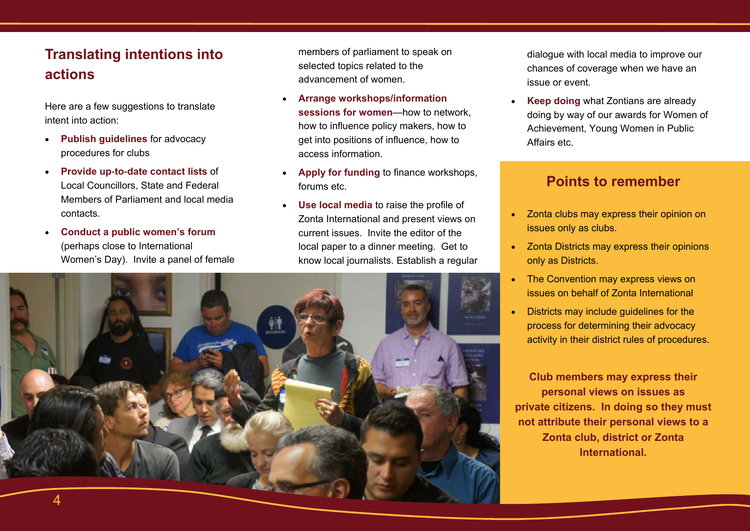### **Translating intentions into actions**

Here are a few suggestions to translate intent into action:

- **Publish guidelines** for advocacy procedures for clubs
- **Provide up-to-date contact lists** of Local Councillors, State and Federal Members of Parliament and local media contacts.
- **Conduct a public women's forum**  (perhaps close to International Women's Day). Invite a panel of female

members of parliament to speak on selected topics related to the advancement of women.

- **Arrange workshops/information sessions for women**—how to network, how to influence policy makers, how to get into positions of influence, how to access information.
- **Apply for funding** to finance workshops, forums etc.
- **Use local media** to raise the profile of Zonta International and present views on current issues. Invite the editor of the local paper to a dinner meeting. Get to know local journalists. Establish a regular

dialogue with local media to improve our chances of coverage when we have an issue or event.

• **Keep doing** what Zontians are already doing by way of our awards for Women of Achievement, Young Women in Public Affairs etc.

### **Points to remember**

- Zonta clubs may express their opinion on issues only as clubs.
- Zonta Districts may express their opinions only as Districts.
- The Convention may express views on issues on behalf of Zonta International
- Districts may include guidelines for the process for determining their advocacy activity in their district rules of procedures.

**Club members may express their personal views on issues as private citizens. In doing so they must not attribute their personal views to a Zonta club, district or Zonta International.**